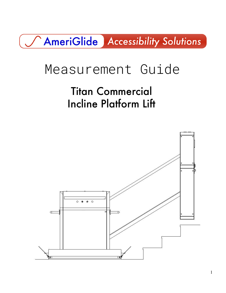## AmeriGlide Accessibility Solutions

# Measurement Guide

Titan Commercial Incline Platform Lift

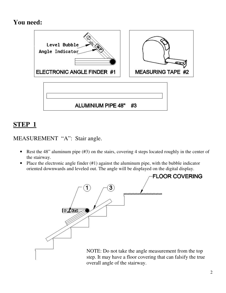## **You need:**



## **STEP 1**

MEASUREMENT "A": Stair angle.

- Rest the 48" aluminum pipe (#3) on the stairs, covering 4 steps located roughly in the center of the stairway.
- Place the electronic angle finder (#1) against the aluminum pipe, with the bubble indicator oriented downwards and leveled out. The angle will be displayed on the digital display.

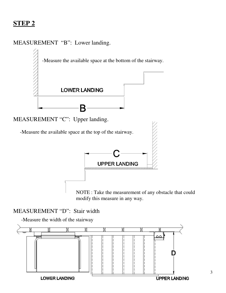## **STEP 2**

### MEASUREMENT "B": Lower landing.



NOTE : Take the measurement of any obstacle that could modify this measure in any way.

### MEASUREMENT "D": Stair width

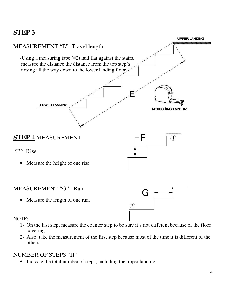## **STEP 3**



- 1- On the last step, measure the counter step to be sure it's not different because of the floor covering.
- 2- Also, take the measurement of the first step because most of the time it is different of the others.

#### NUMBER OF STEPS "H"

• Indicate the total number of steps, including the upper landing.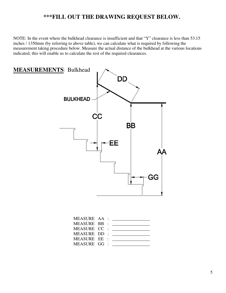#### **\*\*\*FILL OUT THE DRAWING REQUEST BELOW.**

NOTE: In the event where the bulkhead clearance is insufficient and that "Y" clearance is less than 53.15 inches / 1350mm (by referring to above table), we can calculate what is required by following the measurement taking procedure below. Measure the actual distance of the bulkhead at the various locations indicated, this will enable us to calculate the rest of the required clearances.



| MEASURE AA : |  | <u> 1980 - Andrea Aonaich, ann an t-Aonaich an t-Aonaich an t-Aonaich ann an t-Aonaich ann an t-Aonaich ann an t-</u> |
|--------------|--|-----------------------------------------------------------------------------------------------------------------------|
| MEASURE BB:  |  | <u> 1980 - Jan Alexandria (h. 1980).</u>                                                                              |
| MEASURE CC : |  | <u> 1980 - Jan Barnett, fransk politik (d. 1980)</u>                                                                  |
| MEASURE DD : |  | <u> 1980 - Jan Samuel Barbara, margaret e</u>                                                                         |
| MEASURE EE : |  |                                                                                                                       |
| MEASURE GG : |  |                                                                                                                       |
|              |  |                                                                                                                       |